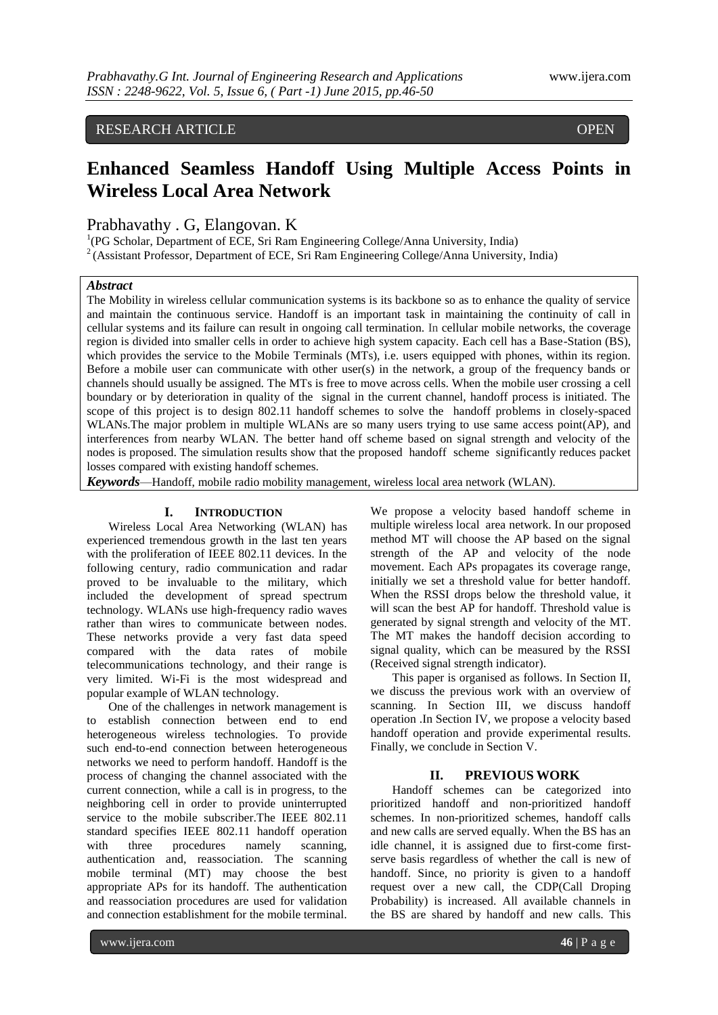# RESEARCH ARTICLE **CONTRACT CONTRACT OPEN**

# **Enhanced Seamless Handoff Using Multiple Access Points in Wireless Local Area Network**

Prabhavathy . G, Elangovan. K

<sup>1</sup>(PG Scholar, Department of ECE, Sri Ram Engineering College/Anna University, India) <sup>2</sup> (Assistant Professor, Department of ECE, Sri Ram Engineering College/Anna University, India)

## *Abstract*

ACCESS

The Mobility in wireless cellular communication systems is its backbone so as to enhance the quality of service and maintain the continuous service. Handoff is an important task in maintaining the continuity of call in cellular systems and its failure can result in ongoing call termination. In cellular mobile networks, the coverage region is divided into smaller cells in order to achieve high system capacity. Each cell has a Base-Station (BS), which provides the service to the Mobile Terminals (MTs), i.e. users equipped with phones, within its region. Before a mobile user can communicate with other user(s) in the network, a group of the frequency bands or channels should usually be assigned. The MTs is free to move across cells. When the mobile user crossing a cell boundary or by deterioration in quality of the signal in the current channel, handoff process is initiated. The scope of this project is to design 802.11 handoff schemes to solve the handoff problems in closely-spaced WLANs.The major problem in multiple WLANs are so many users trying to use same access point(AP), and interferences from nearby WLAN. The better hand off scheme based on signal strength and velocity of the nodes is proposed. The simulation results show that the proposed handoff scheme significantly reduces packet losses compared with existing handoff schemes.

*Keywords*—Handoff, mobile radio mobility management, wireless local area network (WLAN).

#### **I. INTRODUCTION**

Wireless Local Area Networking (WLAN) has experienced tremendous growth in the last ten years with the proliferation of IEEE 802.11 devices. In the following century, radio communication and radar proved to be invaluable to the military, which included the development of spread spectrum technology. WLANs use high-frequency radio waves rather than wires to communicate between nodes. These networks provide a very fast data speed compared with the data rates of mobile telecommunications technology, and their range is very limited. Wi-Fi is the most widespread and popular example of WLAN technology.

One of the challenges in network management is to establish connection between end to end heterogeneous wireless technologies. To provide such end-to-end connection between heterogeneous networks we need to perform handoff. Handoff is the process of changing the channel associated with the current connection, while a call is in progress, to the neighboring cell in order to provide uninterrupted service to the mobile subscriber.The IEEE 802.11 standard specifies IEEE 802.11 handoff operation with three procedures namely scanning, authentication and, reassociation. The scanning mobile terminal (MT) may choose the best appropriate APs for its handoff. The authentication and reassociation procedures are used for validation and connection establishment for the mobile terminal.

We propose a velocity based handoff scheme in multiple wireless local area network. In our proposed method MT will choose the AP based on the signal strength of the AP and velocity of the node movement. Each APs propagates its coverage range, initially we set a threshold value for better handoff. When the RSSI drops below the threshold value, it will scan the best AP for handoff. Threshold value is generated by signal strength and velocity of the MT. The MT makes the handoff decision according to signal quality, which can be measured by the RSSI (Received signal strength indicator).

This paper is organised as follows. In Section II, we discuss the previous work with an overview of scanning. In Section III, we discuss handoff operation .In Section IV, we propose a velocity based handoff operation and provide experimental results. Finally, we conclude in Section V.

## **II. PREVIOUS WORK**

Handoff schemes can be categorized into prioritized handoff and non-prioritized handoff schemes. In non-prioritized schemes, handoff calls and new calls are served equally. When the BS has an idle channel, it is assigned due to first-come firstserve basis regardless of whether the call is new of handoff. Since, no priority is given to a handoff request over a new call, the CDP(Call Droping Probability) is increased. All available channels in the BS are shared by handoff and new calls. This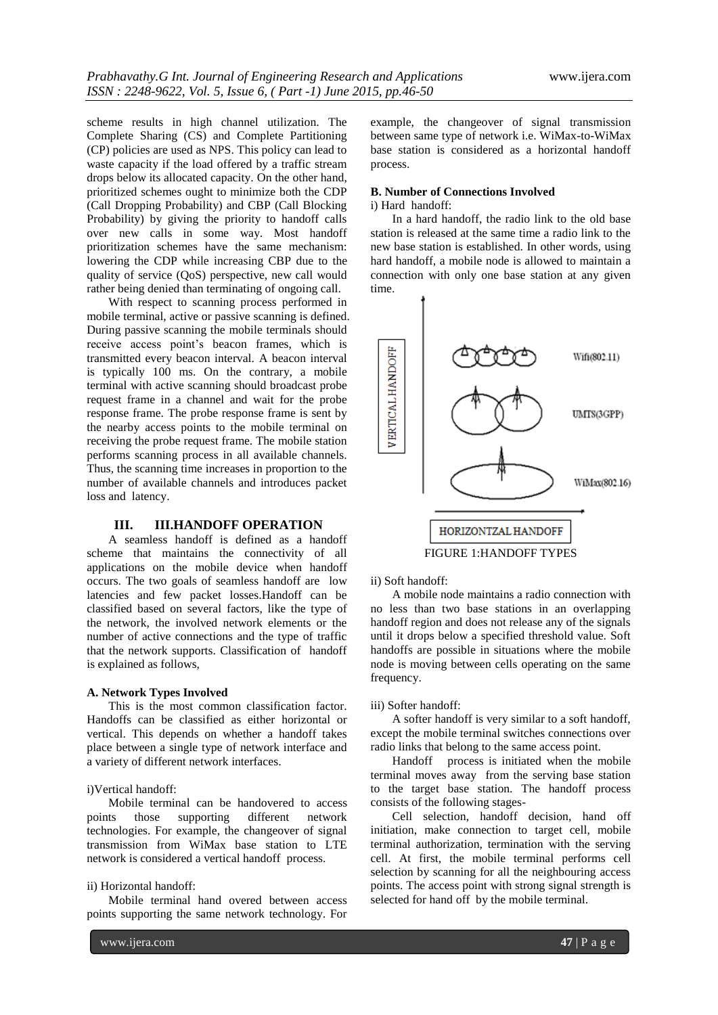scheme results in high channel utilization. The Complete Sharing (CS) and Complete Partitioning (CP) policies are used as NPS. This policy can lead to waste capacity if the load offered by a traffic stream drops below its allocated capacity. On the other hand, prioritized schemes ought to minimize both the CDP (Call Dropping Probability) and CBP (Call Blocking Probability) by giving the priority to handoff calls over new calls in some way. Most handoff prioritization schemes have the same mechanism: lowering the CDP while increasing CBP due to the quality of service (QoS) perspective, new call would rather being denied than terminating of ongoing call.

With respect to scanning process performed in mobile terminal, active or passive scanning is defined. During passive scanning the mobile terminals should receive access point's beacon frames, which is transmitted every beacon interval. A beacon interval is typically 100 ms. On the contrary, a mobile terminal with active scanning should broadcast probe request frame in a channel and wait for the probe response frame. The probe response frame is sent by the nearby access points to the mobile terminal on receiving the probe request frame. The mobile station performs scanning process in all available channels. Thus, the scanning time increases in proportion to the number of available channels and introduces packet loss and latency.

# **III. III.HANDOFF OPERATION**

A seamless handoff is defined as a handoff scheme that maintains the connectivity of all applications on the mobile device when handoff occurs. The two goals of seamless handoff are low latencies and few packet losses.Handoff can be classified based on several factors, like the type of the network, the involved network elements or the number of active connections and the type of traffic that the network supports. Classification of handoff is explained as follows,

## **A. Network Types Involved**

This is the most common classification factor. Handoffs can be classified as either horizontal or vertical. This depends on whether a handoff takes place between a single type of network interface and a variety of different network interfaces.

# i)Vertical handoff:

Mobile terminal can be handovered to access points those supporting different network technologies. For example, the changeover of signal transmission from WiMax base station to LTE network is considered a vertical handoff process.

## ii) Horizontal handoff:

Mobile terminal hand overed between access points supporting the same network technology. For

example, the changeover of signal transmission between same type of network i.e. WiMax-to-WiMax base station is considered as a horizontal handoff process.

#### **B. Number of Connections Involved** i) Hard handoff:

In a hard handoff, the radio link to the old base station is released at the same time a radio link to the new base station is established. In other words, using hard handoff, a mobile node is allowed to maintain a connection with only one base station at any given time.



#### ii) Soft handoff:

A mobile node maintains a radio connection with no less than two base stations in an overlapping handoff region and does not release any of the signals until it drops below a specified threshold value. Soft handoffs are possible in situations where the mobile node is moving between cells operating on the same frequency.

#### iii) Softer handoff:

A softer handoff is very similar to a soft handoff, except the mobile terminal switches connections over radio links that belong to the same access point.

Handoff process is initiated when the mobile terminal moves away from the serving base station to the target base station. The handoff process consists of the following stages-

Cell selection, handoff decision, hand off initiation, make connection to target cell, mobile terminal authorization, termination with the serving cell. At first, the mobile terminal performs cell selection by scanning for all the neighbouring access points. The access point with strong signal strength is selected for hand off by the mobile terminal.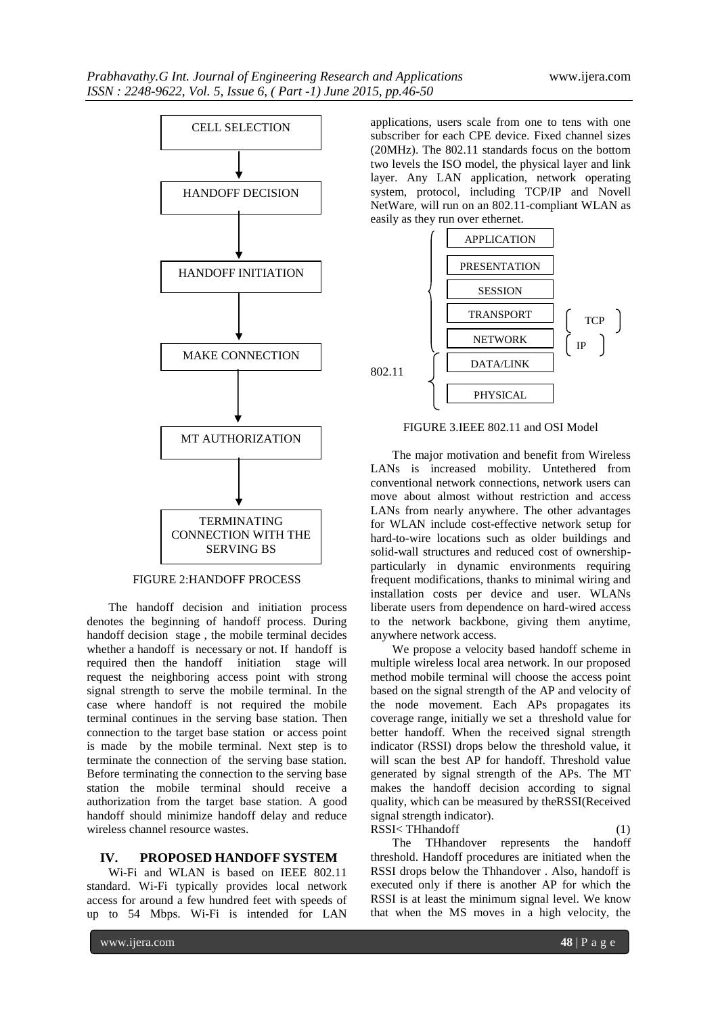

# FIGURE 2:HANDOFF PROCESS

The handoff decision and initiation process denotes the beginning of handoff process. During handoff decision stage , the mobile terminal decides whether a handoff is necessary or not. If handoff is required then the handoff initiation stage will request the neighboring access point with strong signal strength to serve the mobile terminal. In the case where handoff is not required the mobile terminal continues in the serving base station. Then connection to the target base station or access point is made by the mobile terminal. Next step is to terminate the connection of the serving base station. Before terminating the connection to the serving base station the mobile terminal should receive a authorization from the target base station. A good handoff should minimize handoff delay and reduce wireless channel resource wastes.

#### **IV. PROPOSED HANDOFF SYSTEM**

Wi-Fi and WLAN is based on IEEE 802.11 standard. Wi-Fi typically provides local network access for around a few hundred feet with speeds of up to 54 Mbps. Wi-Fi is intended for LAN

applications, users scale from one to tens with one subscriber for each CPE device. Fixed channel sizes (20MHz). The 802.11 standards focus on the bottom two levels the ISO model, the physical layer and link layer. Any LAN application, network operating system, protocol, including TCP/IP and Novell NetWare, will run on an 802.11-compliant WLAN as easily as they run over ethernet.



## FIGURE 3.IEEE 802.11 and OSI Model

The major motivation and benefit from Wireless LANs is increased mobility. Untethered from conventional network connections, network users can move about almost without restriction and access LANs from nearly anywhere. The other advantages for WLAN include cost-effective network setup for hard-to-wire locations such as older buildings and solid-wall structures and reduced cost of ownershipparticularly in dynamic environments requiring frequent modifications, thanks to minimal wiring and installation costs per device and user. WLANs liberate users from dependence on hard-wired access to the network backbone, giving them anytime, anywhere network access.

We propose a velocity based handoff scheme in multiple wireless local area network. In our proposed method mobile terminal will choose the access point based on the signal strength of the AP and velocity of the node movement. Each APs propagates its coverage range, initially we set a threshold value for better handoff. When the received signal strength indicator (RSSI) drops below the threshold value, it will scan the best AP for handoff. Threshold value generated by signal strength of the APs. The MT makes the handoff decision according to signal quality, which can be measured by theRSSI(Received signal strength indicator). RSSI< THhandoff (1)

The THhandover represents the handoff threshold. Handoff procedures are initiated when the RSSI drops below the Thhandover . Also, handoff is executed only if there is another AP for which the RSSI is at least the minimum signal level. We know that when the MS moves in a high velocity, the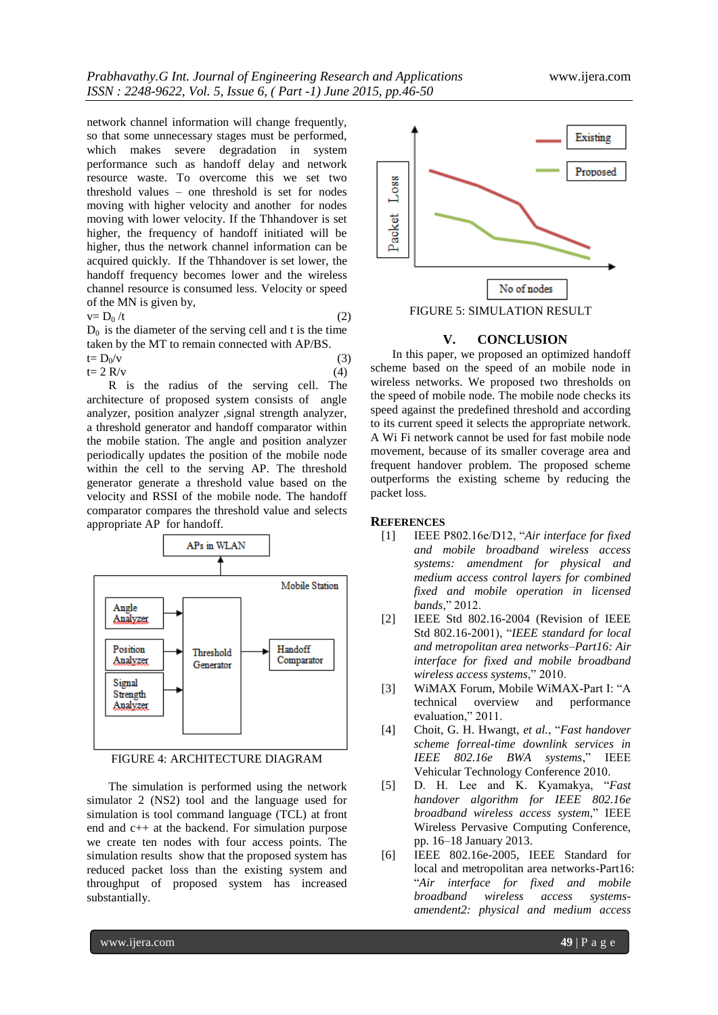network channel information will change frequently, so that some unnecessary stages must be performed, which makes severe degradation in system performance such as handoff delay and network resource waste. To overcome this we set two threshold values – one threshold is set for nodes moving with higher velocity and another for nodes moving with lower velocity. If the Thhandover is set higher, the frequency of handoff initiated will be higher, thus the network channel information can be acquired quickly. If the Thhandover is set lower, the handoff frequency becomes lower and the wireless channel resource is consumed less. Velocity or speed of the MN is given by,

 $v=D_0 /t$  (2)

 $D_0$  is the diameter of the serving cell and t is the time taken by the MT to remain connected with AP/BS.

$$
t = D_0/v
$$
  
(3)  

$$
t = 2 R/v
$$
  
(4)

R is the radius of the serving cell. The architecture of proposed system consists of angle analyzer, position analyzer ,signal strength analyzer, a threshold generator and handoff comparator within the mobile station. The angle and position analyzer periodically updates the position of the mobile node within the cell to the serving AP. The threshold generator generate a threshold value based on the velocity and RSSI of the mobile node. The handoff comparator compares the threshold value and selects appropriate AP for handoff.



FIGURE 4: ARCHITECTURE DIAGRAM

The simulation is performed using the network simulator 2 (NS2) tool and the language used for simulation is tool command language (TCL) at front end and c++ at the backend. For simulation purpose we create ten nodes with four access points. The simulation results show that the proposed system has reduced packet loss than the existing system and throughput of proposed system has increased substantially.



## **V. CONCLUSION**

In this paper, we proposed an optimized handoff scheme based on the speed of an mobile node in wireless networks. We proposed two thresholds on the speed of mobile node. The mobile node checks its speed against the predefined threshold and according to its current speed it selects the appropriate network. A Wi Fi network cannot be used for fast mobile node movement, because of its smaller coverage area and frequent handover problem. The proposed scheme outperforms the existing scheme by reducing the packet loss.

## **REFERENCES**

- [1] IEEE P802.16e/D12, ―*Air interface for fixed and mobile broadband wireless access systems: amendment for physical and medium access control layers for combined fixed and mobile operation in licensed*  bands," 2012.
- [2] IEEE Std 802.16-2004 (Revision of IEEE Std 802.16-2001), "IEEE standard for local *and metropolitan area networks–Part16: Air interface for fixed and mobile broadband wireless access systems,"* 2010.
- [3] WiMAX Forum, Mobile WiMAX-Part I: "A technical overview and performance evaluation," 2011.
- [4] Choit, G. H. Hwangt, et al., "Fast handover" *scheme forreal-time downlink services in IEEE 802.16e BWA systems*,‖ IEEE Vehicular Technology Conference 2010.
- [5] D. H. Lee and K. Kyamakya, "Fast *handover algorithm for IEEE 802.16e broadband wireless access system*,‖ IEEE Wireless Pervasive Computing Conference, pp. 16–18 January 2013.
- [6] IEEE 802.16e-2005, IEEE Standard for local and metropolitan area networks-Part16: ―*Air interface for fixed and mobile broadband wireless access systemsamendent2: physical and medium access*